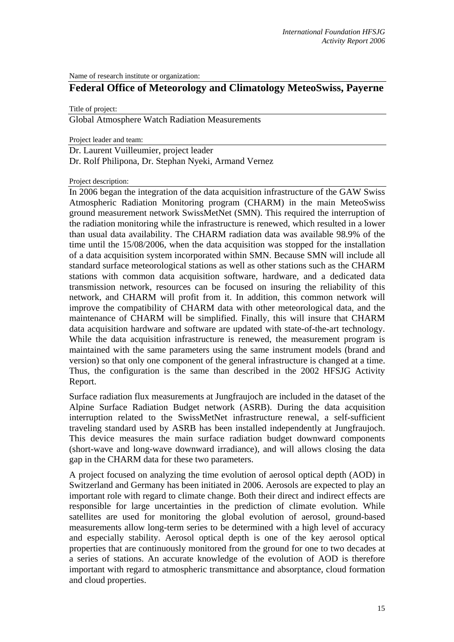Name of research institute or organization:

## **Federal Office of Meteorology and Climatology MeteoSwiss, Payerne**

Title of project:

Global Atmosphere Watch Radiation Measurements

Project leader and team:

Dr. Laurent Vuilleumier, project leader

Dr. Rolf Philipona, Dr. Stephan Nyeki, Armand Vernez

Project description:

In 2006 began the integration of the data acquisition infrastructure of the GAW Swiss Atmospheric Radiation Monitoring program (CHARM) in the main MeteoSwiss ground measurement network SwissMetNet (SMN). This required the interruption of the radiation monitoring while the infrastructure is renewed, which resulted in a lower than usual data availability. The CHARM radiation data was available 98.9% of the time until the 15/08/2006, when the data acquisition was stopped for the installation of a data acquisition system incorporated within SMN. Because SMN will include all standard surface meteorological stations as well as other stations such as the CHARM stations with common data acquisition software, hardware, and a dedicated data transmission network, resources can be focused on insuring the reliability of this network, and CHARM will profit from it. In addition, this common network will improve the compatibility of CHARM data with other meteorological data, and the maintenance of CHARM will be simplified. Finally, this will insure that CHARM data acquisition hardware and software are updated with state-of-the-art technology. While the data acquisition infrastructure is renewed, the measurement program is maintained with the same parameters using the same instrument models (brand and version) so that only one component of the general infrastructure is changed at a time. Thus, the configuration is the same than described in the 2002 HFSJG Activity Report.

Surface radiation flux measurements at Jungfraujoch are included in the dataset of the Alpine Surface Radiation Budget network (ASRB). During the data acquisition interruption related to the SwissMetNet infrastructure renewal, a self-sufficient traveling standard used by ASRB has been installed independently at Jungfraujoch. This device measures the main surface radiation budget downward components (short-wave and long-wave downward irradiance), and will allows closing the data gap in the CHARM data for these two parameters.

A project focused on analyzing the time evolution of aerosol optical depth (AOD) in Switzerland and Germany has been initiated in 2006. Aerosols are expected to play an important role with regard to climate change. Both their direct and indirect effects are responsible for large uncertainties in the prediction of climate evolution. While satellites are used for monitoring the global evolution of aerosol, ground-based measurements allow long-term series to be determined with a high level of accuracy and especially stability. Aerosol optical depth is one of the key aerosol optical properties that are continuously monitored from the ground for one to two decades at a series of stations. An accurate knowledge of the evolution of AOD is therefore important with regard to atmospheric transmittance and absorptance, cloud formation and cloud properties.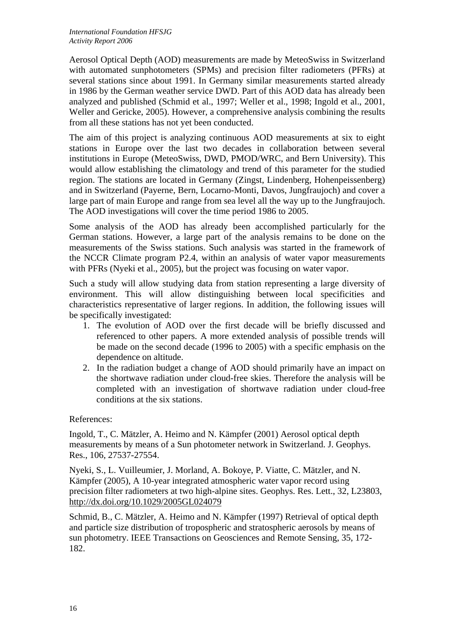Aerosol Optical Depth (AOD) measurements are made by MeteoSwiss in Switzerland with automated sunphotometers (SPMs) and precision filter radiometers (PFRs) at several stations since about 1991. In Germany similar measurements started already in 1986 by the German weather service DWD. Part of this AOD data has already been analyzed and published (Schmid et al., 1997; Weller et al., 1998; Ingold et al., 2001, Weller and Gericke, 2005). However, a comprehensive analysis combining the results from all these stations has not yet been conducted.

The aim of this project is analyzing continuous AOD measurements at six to eight stations in Europe over the last two decades in collaboration between several institutions in Europe (MeteoSwiss, DWD, PMOD/WRC, and Bern University). This would allow establishing the climatology and trend of this parameter for the studied region. The stations are located in Germany (Zingst, Lindenberg, Hohenpeissenberg) and in Switzerland (Payerne, Bern, Locarno-Monti, Davos, Jungfraujoch) and cover a large part of main Europe and range from sea level all the way up to the Jungfraujoch. The AOD investigations will cover the time period 1986 to 2005.

Some analysis of the AOD has already been accomplished particularly for the German stations. However, a large part of the analysis remains to be done on the measurements of the Swiss stations. Such analysis was started in the framework of the NCCR Climate program P2.4, within an analysis of water vapor measurements with PFRs (Nyeki et al., 2005), but the project was focusing on water vapor.

Such a study will allow studying data from station representing a large diversity of environment. This will allow distinguishing between local specificities and characteristics representative of larger regions. In addition, the following issues will be specifically investigated:

- 1. The evolution of AOD over the first decade will be briefly discussed and referenced to other papers. A more extended analysis of possible trends will be made on the second decade (1996 to 2005) with a specific emphasis on the dependence on altitude.
- 2. In the radiation budget a change of AOD should primarily have an impact on the shortwave radiation under cloud-free skies. Therefore the analysis will be completed with an investigation of shortwave radiation under cloud-free conditions at the six stations.

References:

Ingold, T., C. Mätzler, A. Heimo and N. Kämpfer (2001) Aerosol optical depth measurements by means of a Sun photometer network in Switzerland. J. Geophys. Res., 106, 27537-27554.

Nyeki, S., L. Vuilleumier, J. Morland, A. Bokoye, P. Viatte, C. Mätzler, and N. Kämpfer (2005), A 10-year integrated atmospheric water vapor record using precision filter radiometers at two high-alpine sites. Geophys. Res. Lett., 32, L23803, http://dx.doi.org/10.1029/2005GL024079

Schmid, B., C. Mätzler, A. Heimo and N. Kämpfer (1997) Retrieval of optical depth and particle size distribution of tropospheric and stratospheric aerosols by means of sun photometry. IEEE Transactions on Geosciences and Remote Sensing, 35, 172- 182.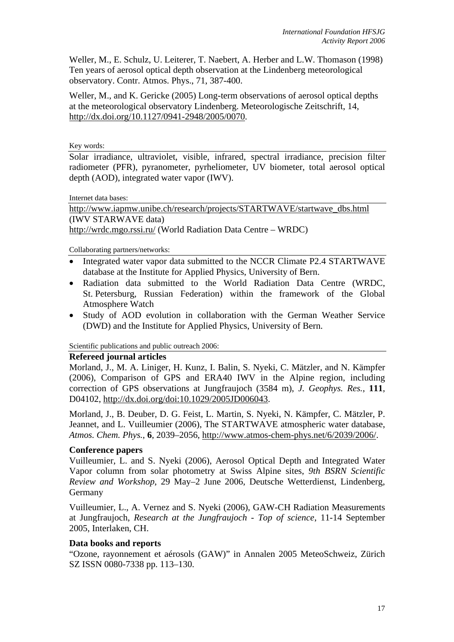Weller, M., E. Schulz, U. Leiterer, T. Naebert, A. Herber and L.W. Thomason (1998) Ten years of aerosol optical depth observation at the Lindenberg meteorological observatory. Contr. Atmos. Phys., 71, 387-400.

Weller, M., and K. Gericke (2005) Long-term observations of aerosol optical depths at the meteorological observatory Lindenberg. Meteorologische Zeitschrift, 14, http://dx.doi.org/10.1127/0941-2948/2005/0070.

Key words:

Solar irradiance, ultraviolet, visible, infrared, spectral irradiance, precision filter radiometer (PFR), pyranometer, pyrheliometer, UV biometer, total aerosol optical depth (AOD), integrated water vapor (IWV).

Internet data bases:

http://www.iapmw.unibe.ch/research/projects/STARTWAVE/startwave\_dbs.html (IWV STARWAVE data) http://wrdc.mgo.rssi.ru/ (World Radiation Data Centre – WRDC)

Collaborating partners/networks:

- Integrated water vapor data submitted to the NCCR Climate P2.4 STARTWAVE database at the Institute for Applied Physics, University of Bern.
- Radiation data submitted to the World Radiation Data Centre (WRDC, St. Petersburg, Russian Federation) within the framework of the Global Atmosphere Watch
- Study of AOD evolution in collaboration with the German Weather Service (DWD) and the Institute for Applied Physics, University of Bern.

Scientific publications and public outreach 2006:

## **Refereed journal articles**

Morland, J., M. A. Liniger, H. Kunz, I. Balin, S. Nyeki, C. Mätzler, and N. Kämpfer (2006), Comparison of GPS and ERA40 IWV in the Alpine region, including correction of GPS observations at Jungfraujoch (3584 m), *J. Geophys. Res.*, **111**, D04102, http://dx.doi.org/doi:10.1029/2005JD006043.

Morland, J., B. Deuber, D. G. Feist, L. Martin, S. Nyeki, N. Kämpfer, C. Mätzler, P. Jeannet, and L. Vuilleumier (2006), The STARTWAVE atmospheric water database, *Atmos. Chem. Phys.*, **6**, 2039–2056, http://www.atmos-chem-phys.net/6/2039/2006/.

## **Conference papers**

Vuilleumier, L. and S. Nyeki (2006), Aerosol Optical Depth and Integrated Water Vapor column from solar photometry at Swiss Alpine sites, *9th BSRN Scientific Review and Workshop*, 29 May–2 June 2006, Deutsche Wetterdienst, Lindenberg, Germany

Vuilleumier, L., A. Vernez and S. Nyeki (2006), GAW-CH Radiation Measurements at Jungfraujoch, *Research at the Jungfraujoch - Top of science*, 11-14 September 2005, Interlaken, CH.

## **Data books and reports**

"Ozone, rayonnement et aérosols (GAW)" in Annalen 2005 MeteoSchweiz, Zürich SZ ISSN 0080-7338 pp. 113–130.